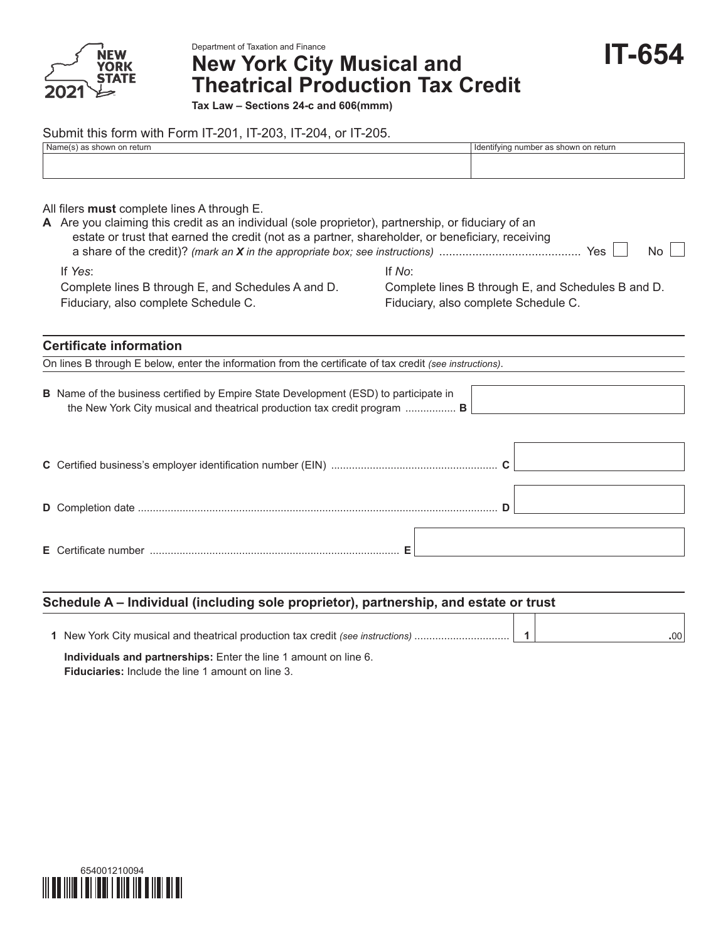

Department of Taxation and Finance

# **New York City Musical and Theatrical Production Tax Credit**

**IT-654**

**Tax Law – Sections 24-c and 606(mmm)**

## Submit this form with Form IT-201, IT-203, IT-204, or IT-205.

| Name(s) as shown on return                                                                                                                                                                                                                                   | Identifying number as shown on return                                                                |  |  |  |
|--------------------------------------------------------------------------------------------------------------------------------------------------------------------------------------------------------------------------------------------------------------|------------------------------------------------------------------------------------------------------|--|--|--|
| All filers <b>must</b> complete lines A through E.<br>A Are you claiming this credit as an individual (sole proprietor), partnership, or fiduciary of an<br>estate or trust that earned the credit (not as a partner, shareholder, or beneficiary, receiving | No.                                                                                                  |  |  |  |
| If Yes:<br>Complete lines B through E, and Schedules A and D.<br>Fiduciary, also complete Schedule C.                                                                                                                                                        | If No:<br>Complete lines B through E, and Schedules B and D.<br>Fiduciary, also complete Schedule C. |  |  |  |
| <b>Certificate information</b><br>On lines B through E below, enter the information from the certificate of tax credit (see instructions).                                                                                                                   |                                                                                                      |  |  |  |
| <b>B</b> Name of the business certified by Empire State Development (ESD) to participate in<br>the New York City musical and theatrical production tax credit program  B                                                                                     |                                                                                                      |  |  |  |

#### **Schedule A – Individual (including sole proprietor), partnership, and estate or trust** Т Т

| New York City musical and theatrical production tax credit (see instructions) | $00^{\circ}$ |
|-------------------------------------------------------------------------------|--------------|
|                                                                               |              |

**Individuals and partnerships:** Enter the line 1 amount on line 6. **Fiduciaries:** Include the line 1 amount on line 3.